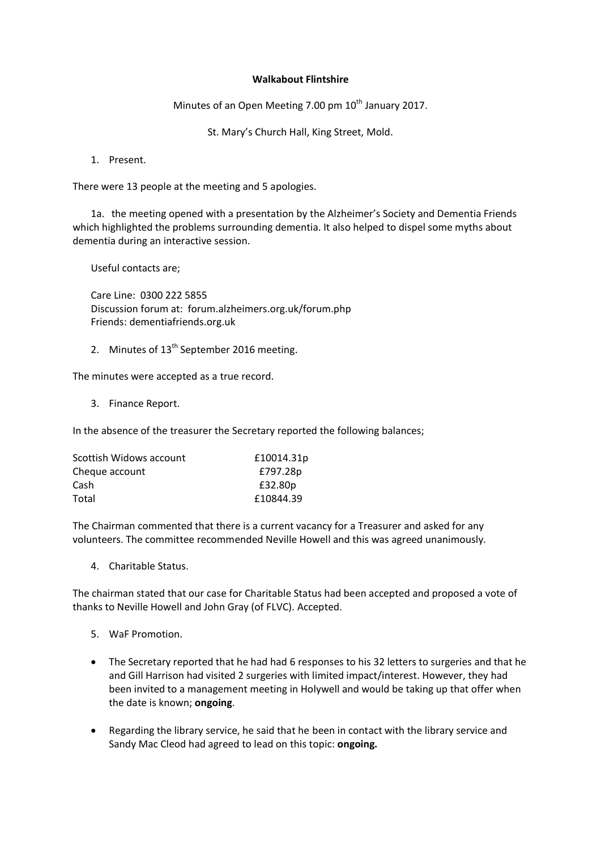## **Walkabout Flintshire**

Minutes of an Open Meeting 7.00 pm  $10<sup>th</sup>$  January 2017.

St. Mary's Church Hall, King Street, Mold.

1. Present.

There were 13 people at the meeting and 5 apologies.

1a. the meeting opened with a presentation by the Alzheimer's Society and Dementia Friends which highlighted the problems surrounding dementia. It also helped to dispel some myths about dementia during an interactive session.

Useful contacts are;

Care Line: 0300 222 5855 Discussion forum at: forum.alzheimers.org.uk/forum.php Friends: dementiafriends.org.uk

2. Minutes of 13<sup>th</sup> September 2016 meeting.

The minutes were accepted as a true record.

3. Finance Report.

In the absence of the treasurer the Secretary reported the following balances;

| £10014.31p |
|------------|
| £797.28p   |
| £32.80p    |
| £10844.39  |
|            |

The Chairman commented that there is a current vacancy for a Treasurer and asked for any volunteers. The committee recommended Neville Howell and this was agreed unanimously.

4. Charitable Status.

The chairman stated that our case for Charitable Status had been accepted and proposed a vote of thanks to Neville Howell and John Gray (of FLVC). Accepted.

- 5. WaF Promotion.
- The Secretary reported that he had had 6 responses to his 32 letters to surgeries and that he and Gill Harrison had visited 2 surgeries with limited impact/interest. However, they had been invited to a management meeting in Holywell and would be taking up that offer when the date is known; **ongoing**.
- Regarding the library service, he said that he been in contact with the library service and Sandy Mac Cleod had agreed to lead on this topic: **ongoing.**